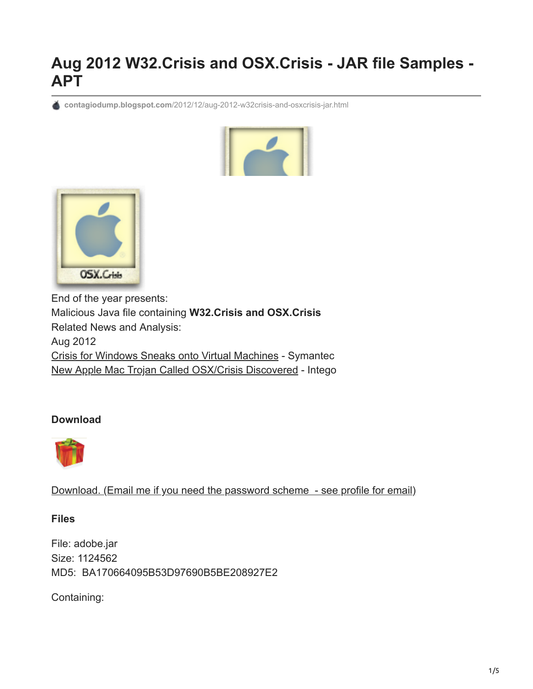## **Aug 2012 W32.Crisis and OSX.Crisis - JAR file Samples - APT**

**contagiodump.blogspot.com**[/2012/12/aug-2012-w32crisis-and-osxcrisis-jar.html](http://contagiodump.blogspot.com/2012/12/aug-2012-w32crisis-and-osxcrisis-jar.html)





End of the year presents: Malicious Java file containing **W32.Crisis and OSX.Crisis** Related News and Analysis: Aug 2012 [Crisis for Windows Sneaks onto Virtual Machines](http://www.symantec.com/connect/blogs/crisis-windows-sneaks-virtual-machines) - Symantec [New Apple Mac Trojan Called OSX/Crisis Discovered](http://www.intego.com/mac-security-blog/new-apple-mac-trojan-called-osxcrisis-discovered-by-intego-virus-team/) - Intego

## **Download**



[Download. \(Email me if you need the password scheme - see profile for email\)](http://www.mediafire.com/?f7zs7ck6v6qh33f)

**Files**

File: adobe.jar Size: 1124562 MD5: BA170664095B53D97690B5BE208927E2

Containing: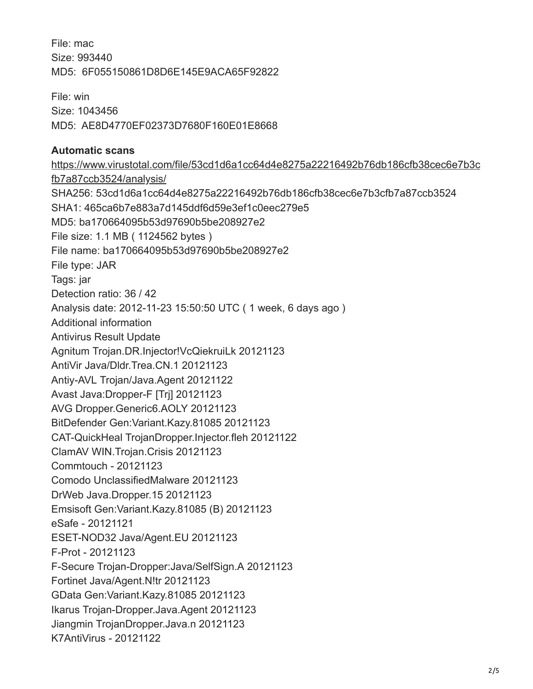File: mac Size: 993440 MD5: 6F055150861D8D6E145E9ACA65F92822

File: win Size: 1043456 MD5: AE8D4770EF02373D7680F160E01E8668

## **Automatic scans**

[https://www.virustotal.com/file/53cd1d6a1cc64d4e8275a22216492b76db186cfb38cec6e7b3c](https://www.virustotal.com/file/53cd1d6a1cc64d4e8275a22216492b76db186cfb38cec6e7b3cfb7a87ccb3524/analysis/) fb7a87ccb3524/analysis/ SHA256: 53cd1d6a1cc64d4e8275a22216492b76db186cfb38cec6e7b3cfb7a87ccb3524 SHA1: 465ca6b7e883a7d145ddf6d59e3ef1c0eec279e5 MD5: ba170664095b53d97690b5be208927e2 File size: 1.1 MB ( 1124562 bytes ) File name: ba170664095b53d97690b5be208927e2 File type: JAR Tags: jar Detection ratio: 36 / 42 Analysis date: 2012-11-23 15:50:50 UTC ( 1 week, 6 days ago ) Additional information Antivirus Result Update Agnitum Trojan.DR.Injector!VcQiekruiLk 20121123 AntiVir Java/Dldr.Trea.CN.1 20121123 Antiy-AVL Trojan/Java.Agent 20121122 Avast Java:Dropper-F [Trj] 20121123 AVG Dropper.Generic6.AOLY 20121123 BitDefender Gen:Variant.Kazy.81085 20121123 CAT-QuickHeal TrojanDropper.Injector.fleh 20121122 ClamAV WIN.Trojan.Crisis 20121123 Commtouch - 20121123 Comodo UnclassifiedMalware 20121123 DrWeb Java.Dropper.15 20121123 Emsisoft Gen:Variant.Kazy.81085 (B) 20121123 eSafe - 20121121 ESET-NOD32 Java/Agent.EU 20121123 F-Prot - 20121123 F-Secure Trojan-Dropper:Java/SelfSign.A 20121123 Fortinet Java/Agent.N!tr 20121123 GData Gen:Variant.Kazy.81085 20121123 Ikarus Trojan-Dropper.Java.Agent 20121123 Jiangmin TrojanDropper.Java.n 20121123 K7AntiVirus - 20121122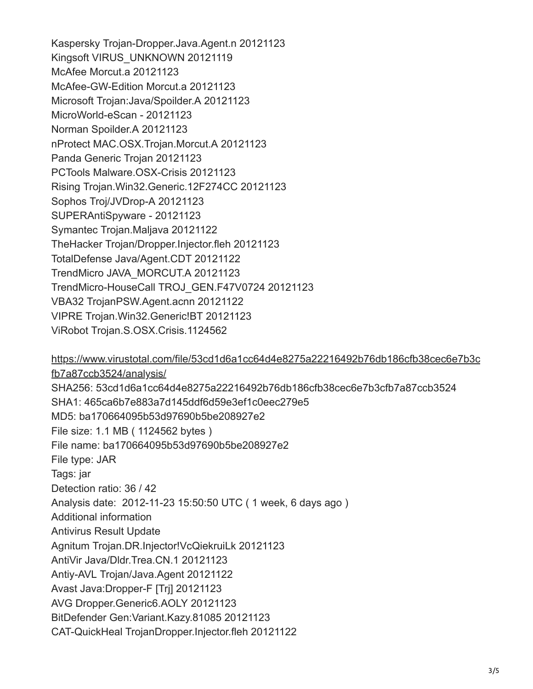Kaspersky Trojan-Dropper.Java.Agent.n 20121123 Kingsoft VIRUS\_UNKNOWN 20121119 McAfee Morcut.a 20121123 McAfee-GW-Edition Morcut.a 20121123 Microsoft Trojan:Java/Spoilder.A 20121123 MicroWorld-eScan - 20121123 Norman Spoilder.A 20121123 nProtect MAC.OSX.Trojan.Morcut.A 20121123 Panda Generic Trojan 20121123 PCTools Malware.OSX-Crisis 20121123 Rising Trojan.Win32.Generic.12F274CC 20121123 Sophos Troj/JVDrop-A 20121123 SUPERAntiSpyware - 20121123 Symantec Trojan.Maljava 20121122 TheHacker Trojan/Dropper.Injector.fleh 20121123 TotalDefense Java/Agent.CDT 20121122 TrendMicro JAVA\_MORCUT.A 20121123 TrendMicro-HouseCall TROJ\_GEN.F47V0724 20121123 VBA32 TrojanPSW.Agent.acnn 20121122 VIPRE Trojan.Win32.Generic!BT 20121123 ViRobot Trojan.S.OSX.Crisis.1124562

[https://www.virustotal.com/file/53cd1d6a1cc64d4e8275a22216492b76db186cfb38cec6e7b3c](https://www.virustotal.com/file/53cd1d6a1cc64d4e8275a22216492b76db186cfb38cec6e7b3cfb7a87ccb3524/analysis/) fb7a87ccb3524/analysis/ SHA256: 53cd1d6a1cc64d4e8275a22216492b76db186cfb38cec6e7b3cfb7a87ccb3524 SHA1: 465ca6b7e883a7d145ddf6d59e3ef1c0eec279e5 MD5: ba170664095b53d97690b5be208927e2 File size: 1.1 MB ( 1124562 bytes ) File name: ba170664095b53d97690b5be208927e2 File type: JAR Tags: jar Detection ratio: 36 / 42 Analysis date: 2012-11-23 15:50:50 UTC ( 1 week, 6 days ago ) Additional information Antivirus Result Update Agnitum Trojan.DR.Injector!VcQiekruiLk 20121123 AntiVir Java/Dldr.Trea.CN.1 20121123 Antiy-AVL Trojan/Java.Agent 20121122 Avast Java:Dropper-F [Trj] 20121123 AVG Dropper.Generic6.AOLY 20121123 BitDefender Gen:Variant.Kazy.81085 20121123 CAT-QuickHeal TrojanDropper.Injector.fleh 20121122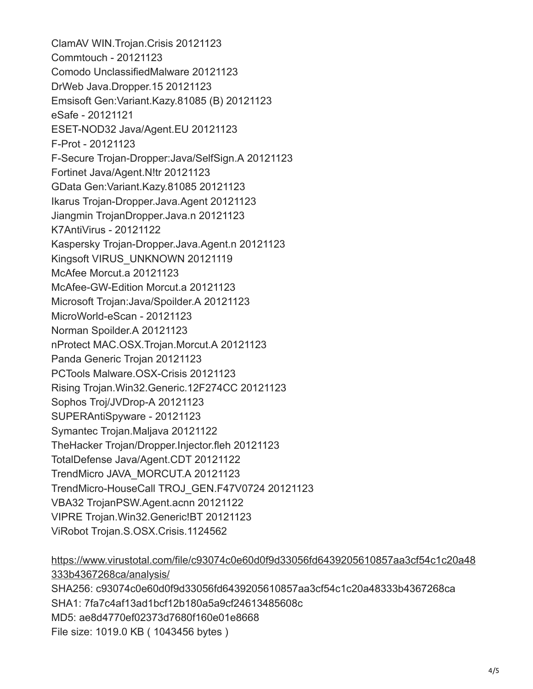ClamAV WIN.Trojan.Crisis 20121123 Commtouch - 20121123 Comodo UnclassifiedMalware 20121123 DrWeb Java.Dropper.15 20121123 Emsisoft Gen:Variant.Kazy.81085 (B) 20121123 eSafe - 20121121 ESET-NOD32 Java/Agent.EU 20121123 F-Prot - 20121123 F-Secure Trojan-Dropper:Java/SelfSign.A 20121123 Fortinet Java/Agent.N!tr 20121123 GData Gen:Variant.Kazy.81085 20121123 Ikarus Trojan-Dropper.Java.Agent 20121123 Jiangmin TrojanDropper.Java.n 20121123 K7AntiVirus - 20121122 Kaspersky Trojan-Dropper.Java.Agent.n 20121123 Kingsoft VIRUS\_UNKNOWN 20121119 McAfee Morcut.a 20121123 McAfee-GW-Edition Morcut.a 20121123 Microsoft Trojan:Java/Spoilder.A 20121123 MicroWorld-eScan - 20121123 Norman Spoilder.A 20121123 nProtect MAC.OSX.Trojan.Morcut.A 20121123 Panda Generic Trojan 20121123 PCTools Malware.OSX-Crisis 20121123 Rising Trojan.Win32.Generic.12F274CC 20121123 Sophos Troj/JVDrop-A 20121123 SUPERAntiSpyware - 20121123 Symantec Trojan.Maljava 20121122 TheHacker Trojan/Dropper.Injector.fleh 20121123 TotalDefense Java/Agent.CDT 20121122 TrendMicro JAVA\_MORCUT.A 20121123 TrendMicro-HouseCall TROJ\_GEN.F47V0724 20121123 VBA32 TrojanPSW.Agent.acnn 20121122 VIPRE Trojan.Win32.Generic!BT 20121123 ViRobot Trojan.S.OSX.Crisis.1124562

[https://www.virustotal.com/file/c93074c0e60d0f9d33056fd6439205610857aa3cf54c1c20a48](https://www.virustotal.com/file/c93074c0e60d0f9d33056fd6439205610857aa3cf54c1c20a48333b4367268ca/analysis/) 333b4367268ca/analysis/ SHA256: c93074c0e60d0f9d33056fd6439205610857aa3cf54c1c20a48333b4367268ca SHA1: 7fa7c4af13ad1bcf12b180a5a9cf24613485608c MD5: ae8d4770ef02373d7680f160e01e8668 File size: 1019.0 KB ( 1043456 bytes )